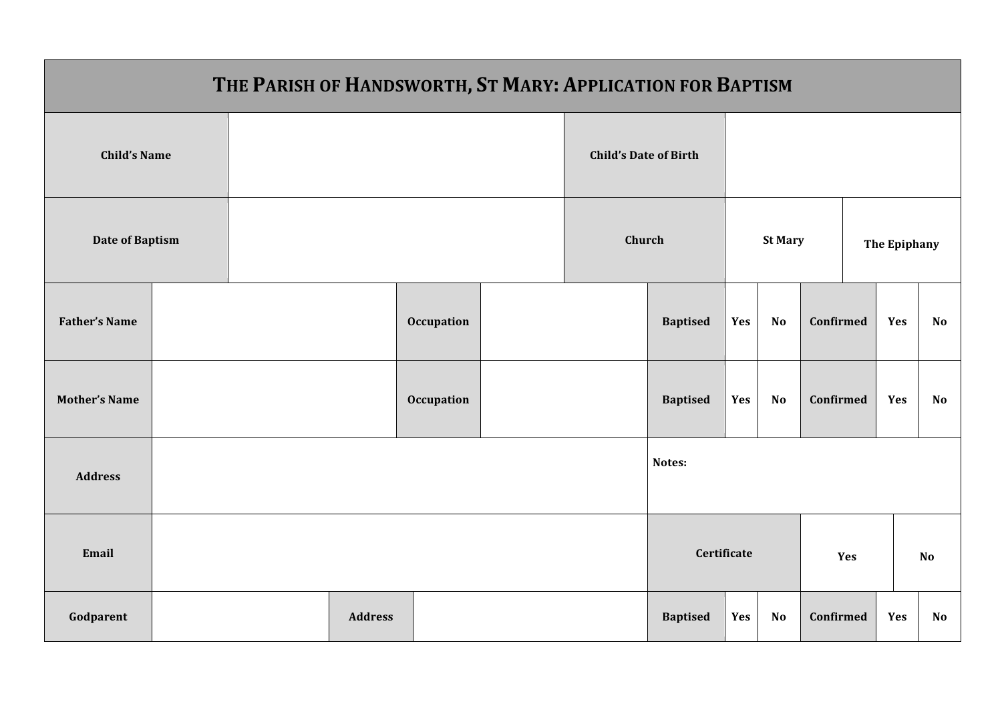| THE PARISH OF HANDSWORTH, ST MARY: APPLICATION FOR BAPTISM |  |  |                |            |                              |                    |                 |           |           |              |     |    |  |
|------------------------------------------------------------|--|--|----------------|------------|------------------------------|--------------------|-----------------|-----------|-----------|--------------|-----|----|--|
| <b>Child's Name</b>                                        |  |  |                |            | <b>Child's Date of Birth</b> |                    |                 |           |           |              |     |    |  |
| <b>Date of Baptism</b>                                     |  |  |                |            | Church                       |                    | <b>St Mary</b>  |           |           | The Epiphany |     |    |  |
| <b>Father's Name</b>                                       |  |  |                | Occupation |                              |                    |                 | Yes       | <b>No</b> | Confirmed    | Yes | No |  |
| <b>Mother's Name</b>                                       |  |  |                | Occupation |                              | <b>Baptised</b>    | Yes             | <b>No</b> | Confirmed | Yes          | No  |    |  |
| <b>Address</b>                                             |  |  |                |            |                              |                    | Notes:          |           |           |              |     |    |  |
| Email                                                      |  |  |                |            |                              | Certificate<br>Yes |                 |           |           | No           |     |    |  |
| Godparent                                                  |  |  | <b>Address</b> |            |                              |                    | <b>Baptised</b> | Yes       | <b>No</b> | Confirmed    | Yes | No |  |